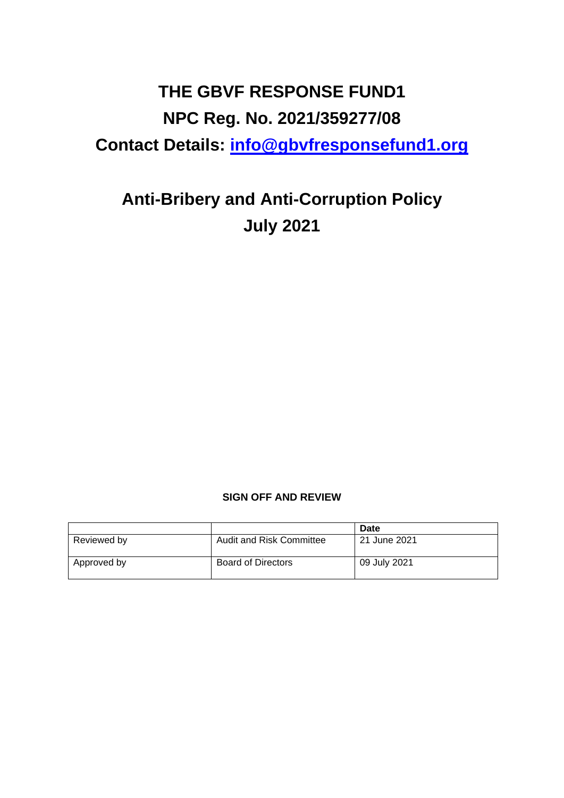# **THE GBVF RESPONSE FUND1 NPC Reg. No. 2021/359277/08 Contact Details: [info@gbvfresponsefund1.org](mailto:info@gbvfresponsefund1.org)**

# **Anti-Bribery and Anti-Corruption Policy July 2021**

## **SIGN OFF AND REVIEW**

|             |                           | Date         |
|-------------|---------------------------|--------------|
| Reviewed by | Audit and Risk Committee  | 21 June 2021 |
| Approved by | <b>Board of Directors</b> | 09 July 2021 |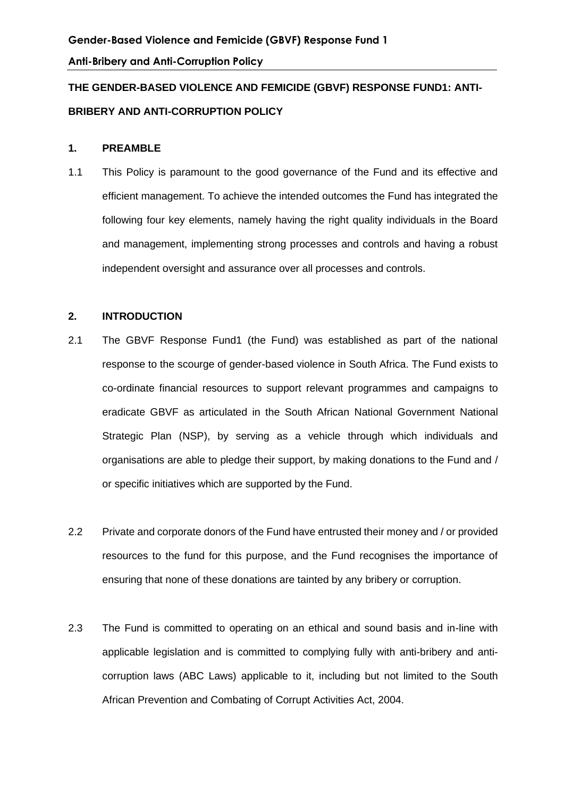# **THE GENDER-BASED VIOLENCE AND FEMICIDE (GBVF) RESPONSE FUND1: ANTI-BRIBERY AND ANTI-CORRUPTION POLICY**

#### **1. PREAMBLE**

1.1 This Policy is paramount to the good governance of the Fund and its effective and efficient management. To achieve the intended outcomes the Fund has integrated the following four key elements, namely having the right quality individuals in the Board and management, implementing strong processes and controls and having a robust independent oversight and assurance over all processes and controls.

#### **2. INTRODUCTION**

- 2.1 The GBVF Response Fund1 (the Fund) was established as part of the national response to the scourge of gender-based violence in South Africa. The Fund exists to co-ordinate financial resources to support relevant programmes and campaigns to eradicate GBVF as articulated in the South African National Government National Strategic Plan (NSP), by serving as a vehicle through which individuals and organisations are able to pledge their support, by making donations to the Fund and / or specific initiatives which are supported by the Fund.
- 2.2 Private and corporate donors of the Fund have entrusted their money and / or provided resources to the fund for this purpose, and the Fund recognises the importance of ensuring that none of these donations are tainted by any bribery or corruption.
- 2.3 The Fund is committed to operating on an ethical and sound basis and in-line with applicable legislation and is committed to complying fully with anti-bribery and anticorruption laws (ABC Laws) applicable to it, including but not limited to the South African Prevention and Combating of Corrupt Activities Act, 2004.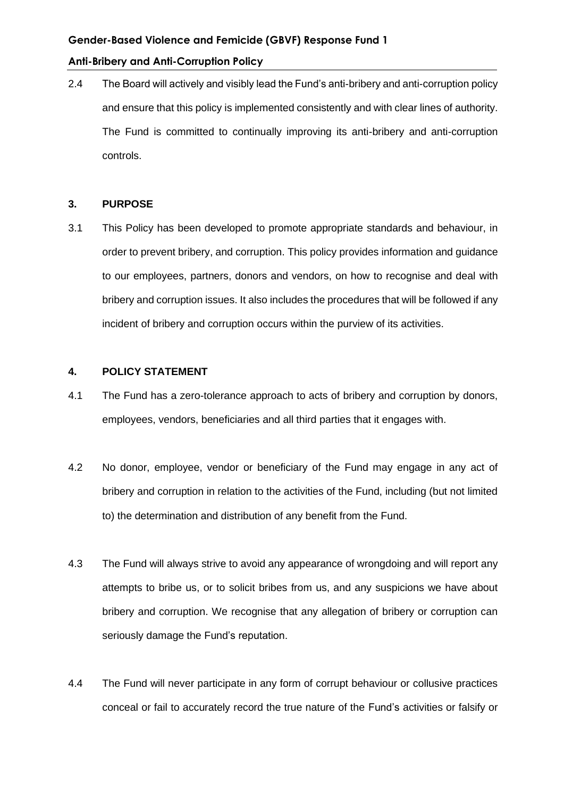#### **Gender-Based Violence and Femicide (GBVF) Response Fund 1**

#### **Anti-Bribery and Anti-Corruption Policy**

2.4 The Board will actively and visibly lead the Fund's anti-bribery and anti-corruption policy and ensure that this policy is implemented consistently and with clear lines of authority. The Fund is committed to continually improving its anti-bribery and anti-corruption controls.

#### **3. PURPOSE**

3.1 This Policy has been developed to promote appropriate standards and behaviour, in order to prevent bribery, and corruption. This policy provides information and guidance to our employees, partners, donors and vendors, on how to recognise and deal with bribery and corruption issues. It also includes the procedures that will be followed if any incident of bribery and corruption occurs within the purview of its activities.

#### **4. POLICY STATEMENT**

- 4.1 The Fund has a zero-tolerance approach to acts of bribery and corruption by donors, employees, vendors, beneficiaries and all third parties that it engages with.
- 4.2 No donor, employee, vendor or beneficiary of the Fund may engage in any act of bribery and corruption in relation to the activities of the Fund, including (but not limited to) the determination and distribution of any benefit from the Fund.
- 4.3 The Fund will always strive to avoid any appearance of wrongdoing and will report any attempts to bribe us, or to solicit bribes from us, and any suspicions we have about bribery and corruption. We recognise that any allegation of bribery or corruption can seriously damage the Fund's reputation.
- 4.4 The Fund will never participate in any form of corrupt behaviour or collusive practices conceal or fail to accurately record the true nature of the Fund's activities or falsify or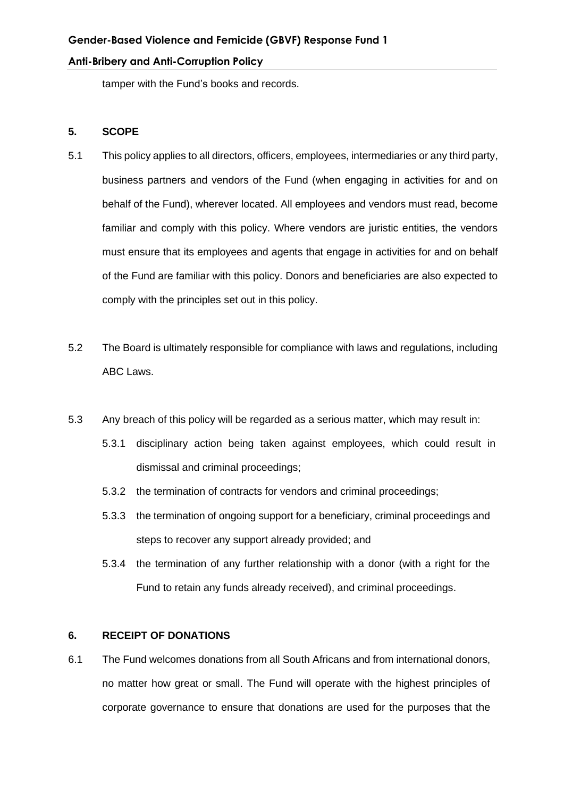tamper with the Fund's books and records.

#### **5. SCOPE**

- 5.1 This policy applies to all directors, officers, employees, intermediaries or any third party, business partners and vendors of the Fund (when engaging in activities for and on behalf of the Fund), wherever located. All employees and vendors must read, become familiar and comply with this policy. Where vendors are juristic entities, the vendors must ensure that its employees and agents that engage in activities for and on behalf of the Fund are familiar with this policy. Donors and beneficiaries are also expected to comply with the principles set out in this policy.
- 5.2 The Board is ultimately responsible for compliance with laws and regulations, including ABC Laws.
- 5.3 Any breach of this policy will be regarded as a serious matter, which may result in:
	- 5.3.1 disciplinary action being taken against employees, which could result in dismissal and criminal proceedings;
	- 5.3.2 the termination of contracts for vendors and criminal proceedings;
	- 5.3.3 the termination of ongoing support for a beneficiary, criminal proceedings and steps to recover any support already provided; and
	- 5.3.4 the termination of any further relationship with a donor (with a right for the Fund to retain any funds already received), and criminal proceedings.

#### **6. RECEIPT OF DONATIONS**

6.1 The Fund welcomes donations from all South Africans and from international donors, no matter how great or small. The Fund will operate with the highest principles of corporate governance to ensure that donations are used for the purposes that the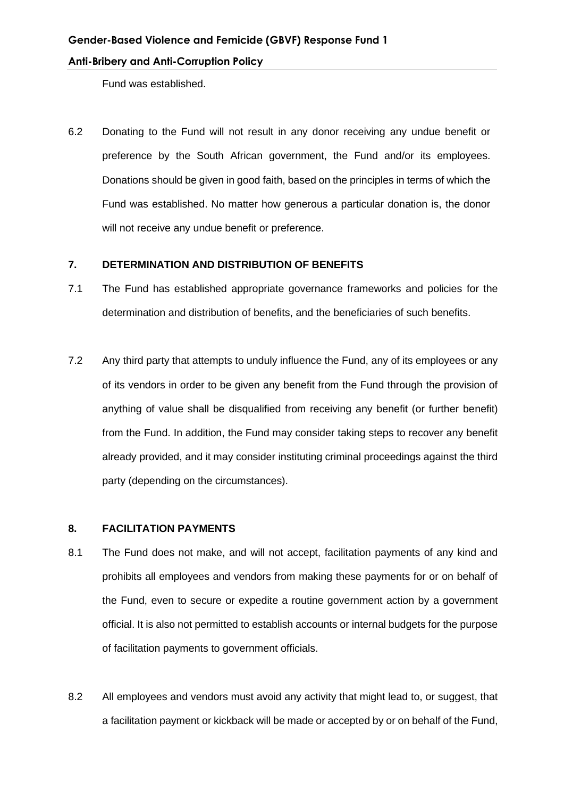Fund was established.

6.2 Donating to the Fund will not result in any donor receiving any undue benefit or preference by the South African government, the Fund and/or its employees. Donations should be given in good faith, based on the principles in terms of which the Fund was established. No matter how generous a particular donation is, the donor will not receive any undue benefit or preference.

#### **7. DETERMINATION AND DISTRIBUTION OF BENEFITS**

- 7.1 The Fund has established appropriate governance frameworks and policies for the determination and distribution of benefits, and the beneficiaries of such benefits.
- 7.2 Any third party that attempts to unduly influence the Fund, any of its employees or any of its vendors in order to be given any benefit from the Fund through the provision of anything of value shall be disqualified from receiving any benefit (or further benefit) from the Fund. In addition, the Fund may consider taking steps to recover any benefit already provided, and it may consider instituting criminal proceedings against the third party (depending on the circumstances).

#### **8. FACILITATION PAYMENTS**

- 8.1 The Fund does not make, and will not accept, facilitation payments of any kind and prohibits all employees and vendors from making these payments for or on behalf of the Fund, even to secure or expedite a routine government action by a government official. It is also not permitted to establish accounts or internal budgets for the purpose of facilitation payments to government officials.
- 8.2 All employees and vendors must avoid any activity that might lead to, or suggest, that a facilitation payment or kickback will be made or accepted by or on behalf of the Fund,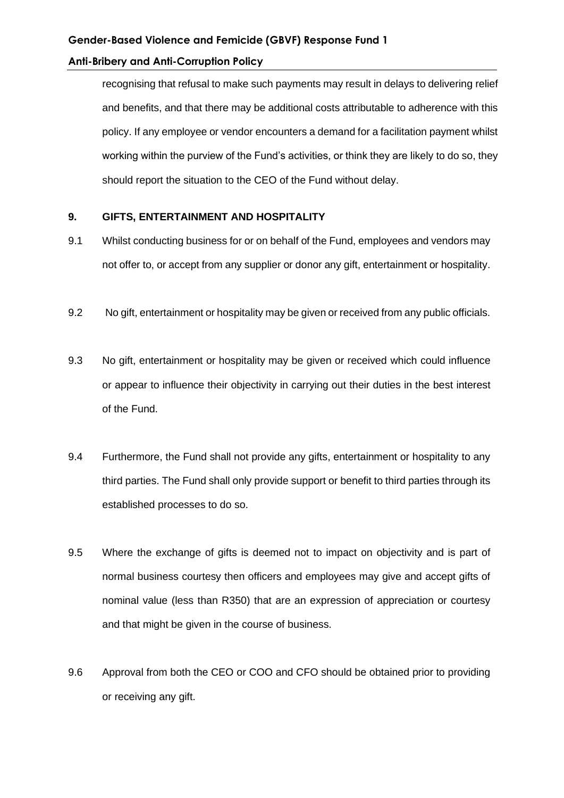recognising that refusal to make such payments may result in delays to delivering relief and benefits, and that there may be additional costs attributable to adherence with this policy. If any employee or vendor encounters a demand for a facilitation payment whilst working within the purview of the Fund's activities, or think they are likely to do so, they should report the situation to the CEO of the Fund without delay.

#### **9. GIFTS, ENTERTAINMENT AND HOSPITALITY**

- 9.1 Whilst conducting business for or on behalf of the Fund, employees and vendors may not offer to, or accept from any supplier or donor any gift, entertainment or hospitality.
- 9.2 No gift, entertainment or hospitality may be given or received from any public officials.
- 9.3 No gift, entertainment or hospitality may be given or received which could influence or appear to influence their objectivity in carrying out their duties in the best interest of the Fund.
- 9.4 Furthermore, the Fund shall not provide any gifts, entertainment or hospitality to any third parties. The Fund shall only provide support or benefit to third parties through its established processes to do so.
- 9.5 Where the exchange of gifts is deemed not to impact on objectivity and is part of normal business courtesy then officers and employees may give and accept gifts of nominal value (less than R350) that are an expression of appreciation or courtesy and that might be given in the course of business.
- 9.6 Approval from both the CEO or COO and CFO should be obtained prior to providing or receiving any gift.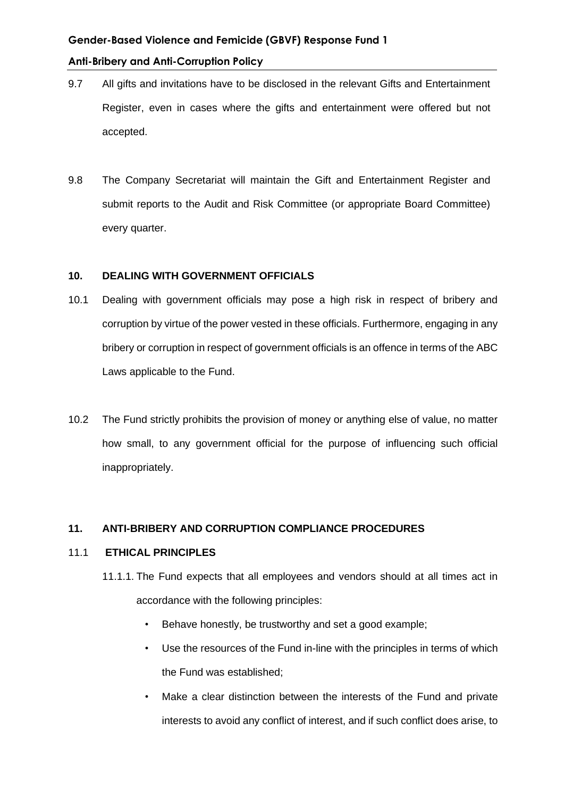- 9.7 All gifts and invitations have to be disclosed in the relevant Gifts and Entertainment Register, even in cases where the gifts and entertainment were offered but not accepted.
- 9.8 The Company Secretariat will maintain the Gift and Entertainment Register and submit reports to the Audit and Risk Committee (or appropriate Board Committee) every quarter.

#### **10. DEALING WITH GOVERNMENT OFFICIALS**

- 10.1 Dealing with government officials may pose a high risk in respect of bribery and corruption by virtue of the power vested in these officials. Furthermore, engaging in any bribery or corruption in respect of government officials is an offence in terms of the ABC Laws applicable to the Fund.
- 10.2 The Fund strictly prohibits the provision of money or anything else of value, no matter how small, to any government official for the purpose of influencing such official inappropriately.

### **11. ANTI-BRIBERY AND CORRUPTION COMPLIANCE PROCEDURES**

#### 11.1 **ETHICAL PRINCIPLES**

- 11.1.1. The Fund expects that all employees and vendors should at all times act in accordance with the following principles:
	- Behave honestly, be trustworthy and set a good example;
	- Use the resources of the Fund in-line with the principles in terms of which the Fund was established;
	- Make a clear distinction between the interests of the Fund and private interests to avoid any conflict of interest, and if such conflict does arise, to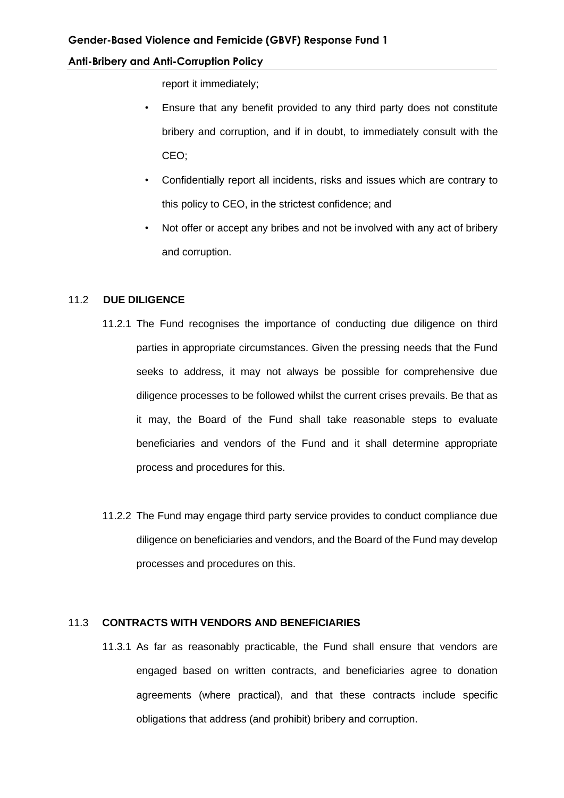report it immediately;

- Ensure that any benefit provided to any third party does not constitute bribery and corruption, and if in doubt, to immediately consult with the CEO;
- Confidentially report all incidents, risks and issues which are contrary to this policy to CEO, in the strictest confidence; and
- Not offer or accept any bribes and not be involved with any act of bribery and corruption.

#### 11.2 **DUE DILIGENCE**

- 11.2.1 The Fund recognises the importance of conducting due diligence on third parties in appropriate circumstances. Given the pressing needs that the Fund seeks to address, it may not always be possible for comprehensive due diligence processes to be followed whilst the current crises prevails. Be that as it may, the Board of the Fund shall take reasonable steps to evaluate beneficiaries and vendors of the Fund and it shall determine appropriate process and procedures for this.
- 11.2.2 The Fund may engage third party service provides to conduct compliance due diligence on beneficiaries and vendors, and the Board of the Fund may develop processes and procedures on this.

#### 11.3 **CONTRACTS WITH VENDORS AND BENEFICIARIES**

11.3.1 As far as reasonably practicable, the Fund shall ensure that vendors are engaged based on written contracts, and beneficiaries agree to donation agreements (where practical), and that these contracts include specific obligations that address (and prohibit) bribery and corruption.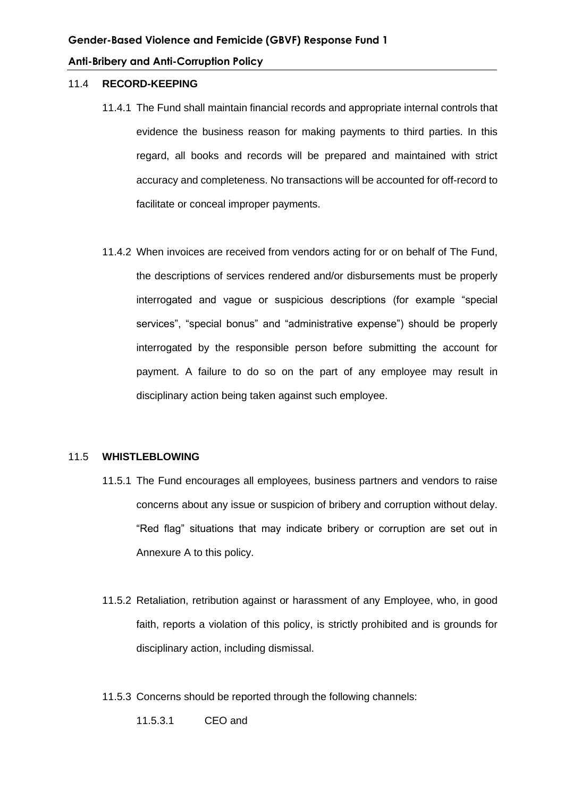#### 11.4 **RECORD-KEEPING**

- 11.4.1 The Fund shall maintain financial records and appropriate internal controls that evidence the business reason for making payments to third parties. In this regard, all books and records will be prepared and maintained with strict accuracy and completeness. No transactions will be accounted for off-record to facilitate or conceal improper payments.
- 11.4.2 When invoices are received from vendors acting for or on behalf of The Fund, the descriptions of services rendered and/or disbursements must be properly interrogated and vague or suspicious descriptions (for example "special services", "special bonus" and "administrative expense") should be properly interrogated by the responsible person before submitting the account for payment. A failure to do so on the part of any employee may result in disciplinary action being taken against such employee.

#### 11.5 **WHISTLEBLOWING**

- 11.5.1 The Fund encourages all employees, business partners and vendors to raise concerns about any issue or suspicion of bribery and corruption without delay. "Red flag" situations that may indicate bribery or corruption are set out in Annexure A to this policy.
- 11.5.2 Retaliation, retribution against or harassment of any Employee, who, in good faith, reports a violation of this policy, is strictly prohibited and is grounds for disciplinary action, including dismissal.
- 11.5.3 Concerns should be reported through the following channels:

11.5.3.1 CEO and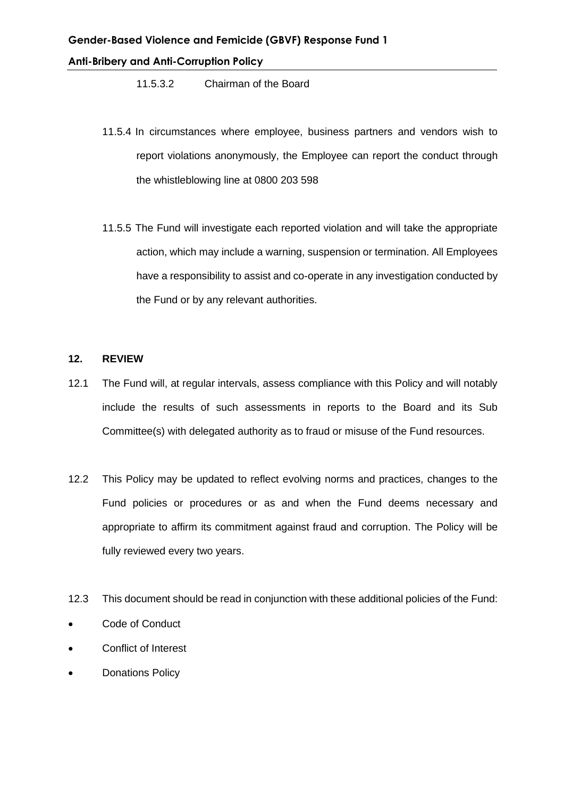11.5.3.2 Chairman of the Board

- 11.5.4 In circumstances where employee, business partners and vendors wish to report violations anonymously, the Employee can report the conduct through the whistleblowing line at 0800 203 598
- 11.5.5 The Fund will investigate each reported violation and will take the appropriate action, which may include a warning, suspension or termination. All Employees have a responsibility to assist and co-operate in any investigation conducted by the Fund or by any relevant authorities.

#### **12. REVIEW**

- 12.1 The Fund will, at regular intervals, assess compliance with this Policy and will notably include the results of such assessments in reports to the Board and its Sub Committee(s) with delegated authority as to fraud or misuse of the Fund resources.
- 12.2 This Policy may be updated to reflect evolving norms and practices, changes to the Fund policies or procedures or as and when the Fund deems necessary and appropriate to affirm its commitment against fraud and corruption. The Policy will be fully reviewed every two years.
- 12.3 This document should be read in conjunction with these additional policies of the Fund:
- Code of Conduct
- Conflict of Interest
- **Donations Policy**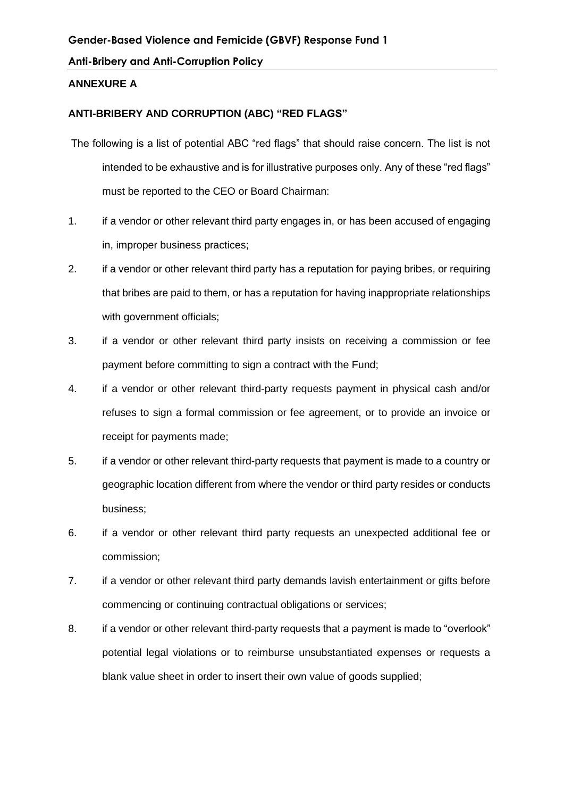#### **ANNEXURE A**

## **ANTI-BRIBERY AND CORRUPTION (ABC) "RED FLAGS"**

- The following is a list of potential ABC "red flags" that should raise concern. The list is not intended to be exhaustive and is for illustrative purposes only. Any of these "red flags" must be reported to the CEO or Board Chairman:
- 1. if a vendor or other relevant third party engages in, or has been accused of engaging in, improper business practices;
- 2. if a vendor or other relevant third party has a reputation for paying bribes, or requiring that bribes are paid to them, or has a reputation for having inappropriate relationships with government officials;
- 3. if a vendor or other relevant third party insists on receiving a commission or fee payment before committing to sign a contract with the Fund;
- 4. if a vendor or other relevant third-party requests payment in physical cash and/or refuses to sign a formal commission or fee agreement, or to provide an invoice or receipt for payments made;
- 5. if a vendor or other relevant third-party requests that payment is made to a country or geographic location different from where the vendor or third party resides or conducts business;
- 6. if a vendor or other relevant third party requests an unexpected additional fee or commission;
- 7. if a vendor or other relevant third party demands lavish entertainment or gifts before commencing or continuing contractual obligations or services;
- 8. if a vendor or other relevant third-party requests that a payment is made to "overlook" potential legal violations or to reimburse unsubstantiated expenses or requests a blank value sheet in order to insert their own value of goods supplied;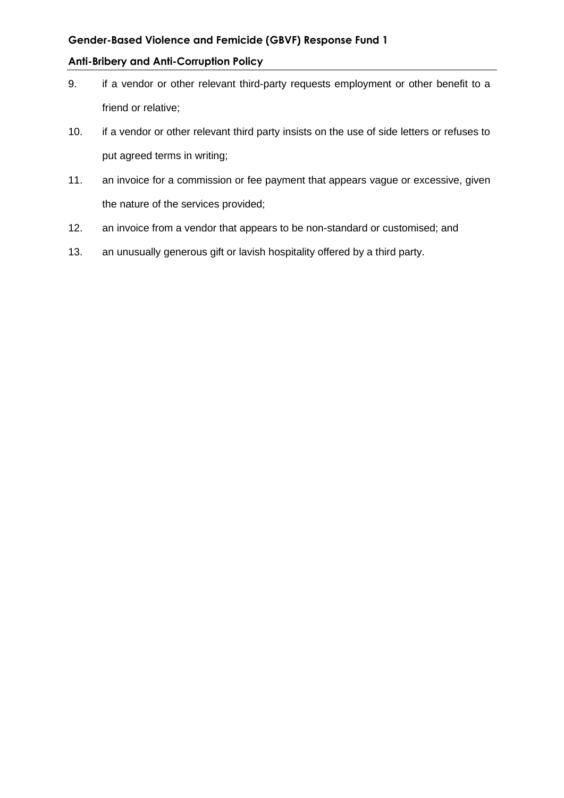#### **Gender-Based Violence and Femicide (GBVF) Response Fund 1**

#### **Anti-Bribery and Anti-Corruption Policy**

- 9. if a vendor or other relevant third-party requests employment or other benefit to a friend or relative;
- 10. if a vendor or other relevant third party insists on the use of side letters or refuses to put agreed terms in writing;
- 11. an invoice for a commission or fee payment that appears vague or excessive, given the nature of the services provided;
- 12. an invoice from a vendor that appears to be non-standard or customised; and
- 13. an unusually generous gift or lavish hospitality offered by a third party.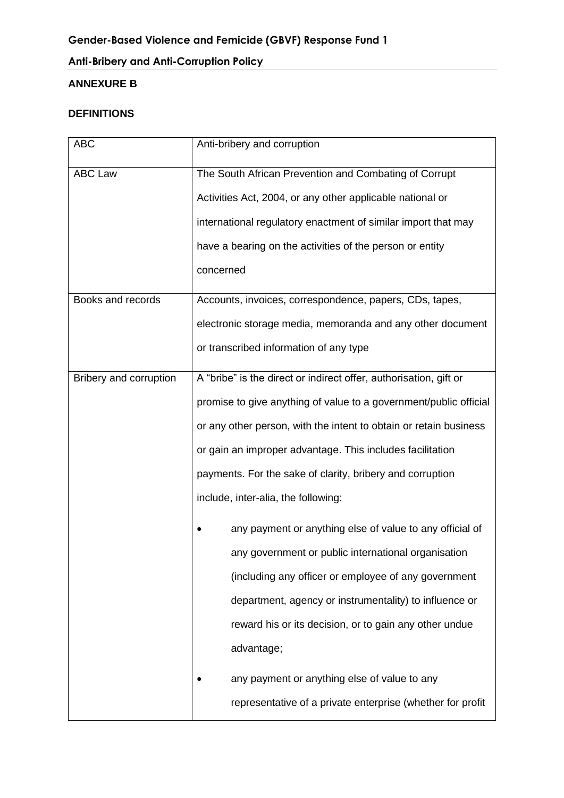## **ANNEXURE B**

## **DEFINITIONS**

| <b>ABC</b>             | Anti-bribery and corruption                                       |  |
|------------------------|-------------------------------------------------------------------|--|
| <b>ABC Law</b>         | The South African Prevention and Combating of Corrupt             |  |
|                        | Activities Act, 2004, or any other applicable national or         |  |
|                        | international regulatory enactment of similar import that may     |  |
|                        | have a bearing on the activities of the person or entity          |  |
|                        | concerned                                                         |  |
| Books and records      | Accounts, invoices, correspondence, papers, CDs, tapes,           |  |
|                        | electronic storage media, memoranda and any other document        |  |
|                        | or transcribed information of any type                            |  |
| Bribery and corruption | A "bribe" is the direct or indirect offer, authorisation, gift or |  |
|                        | promise to give anything of value to a government/public official |  |
|                        | or any other person, with the intent to obtain or retain business |  |
|                        | or gain an improper advantage. This includes facilitation         |  |
|                        | payments. For the sake of clarity, bribery and corruption         |  |
|                        | include, inter-alia, the following:                               |  |
|                        | any payment or anything else of value to any official of          |  |
|                        | any government or public international organisation               |  |
|                        | (including any officer or employee of any government              |  |
|                        | department, agency or instrumentality) to influence or            |  |
|                        | reward his or its decision, or to gain any other undue            |  |
|                        | advantage;                                                        |  |
|                        | any payment or anything else of value to any                      |  |
|                        | representative of a private enterprise (whether for profit        |  |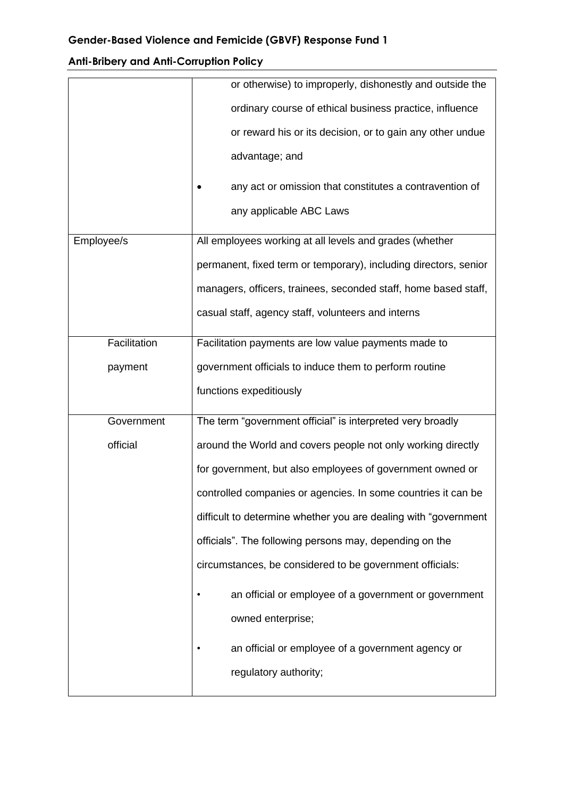|              | or otherwise) to improperly, dishonestly and outside the         |  |
|--------------|------------------------------------------------------------------|--|
|              | ordinary course of ethical business practice, influence          |  |
|              | or reward his or its decision, or to gain any other undue        |  |
|              | advantage; and                                                   |  |
|              |                                                                  |  |
|              | any act or omission that constitutes a contravention of          |  |
|              | any applicable ABC Laws                                          |  |
| Employee/s   | All employees working at all levels and grades (whether          |  |
|              | permanent, fixed term or temporary), including directors, senior |  |
|              | managers, officers, trainees, seconded staff, home based staff,  |  |
|              | casual staff, agency staff, volunteers and interns               |  |
|              |                                                                  |  |
| Facilitation | Facilitation payments are low value payments made to             |  |
| payment      | government officials to induce them to perform routine           |  |
|              | functions expeditiously                                          |  |
| Government   | The term "government official" is interpreted very broadly       |  |
| official     | around the World and covers people not only working directly     |  |
|              | for government, but also employees of government owned or        |  |
|              | controlled companies or agencies. In some countries it can be    |  |
|              | difficult to determine whether you are dealing with "government" |  |
|              | officials". The following persons may, depending on the          |  |
|              | circumstances, be considered to be government officials:         |  |
|              | an official or employee of a government or government            |  |
|              | owned enterprise;                                                |  |
|              | an official or employee of a government agency or                |  |
|              | regulatory authority;                                            |  |
|              |                                                                  |  |